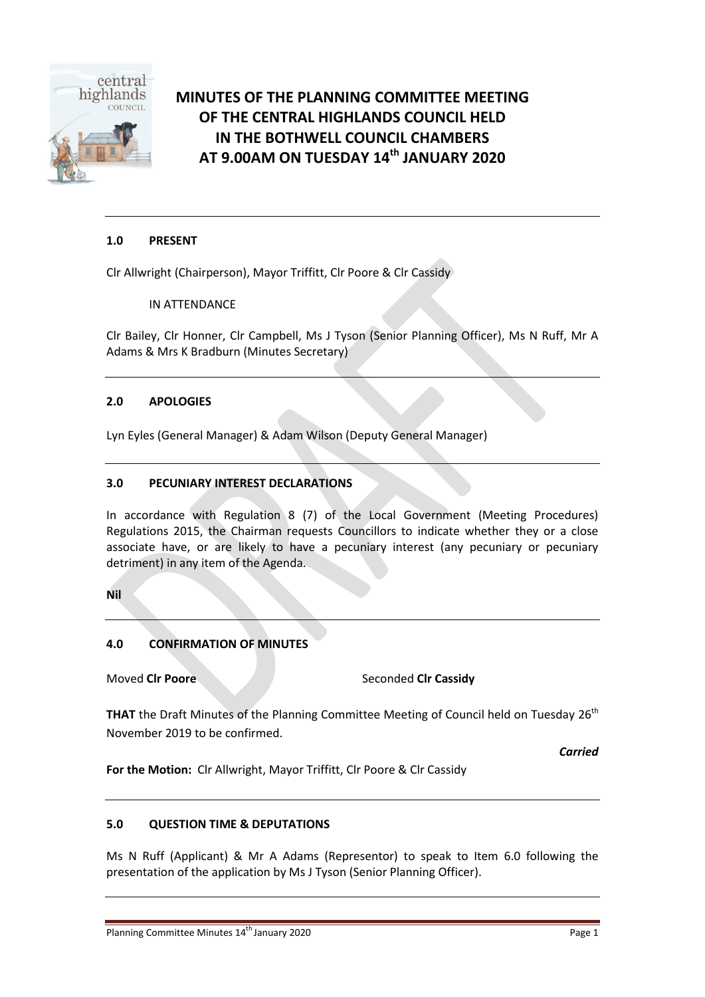

# **MINUTES OF THE PLANNING COMMITTEE MEETING OF THE CENTRAL HIGHLANDS COUNCIL HELD IN THE BOTHWELL COUNCIL CHAMBERS AT 9.00AM ON TUESDAY 14 th JANUARY 2020**

# **1.0 PRESENT**

Clr Allwright (Chairperson), Mayor Triffitt, Clr Poore & Clr Cassidy

IN ATTENDANCE

Clr Bailey, Clr Honner, Clr Campbell, Ms J Tyson (Senior Planning Officer), Ms N Ruff, Mr A Adams & Mrs K Bradburn (Minutes Secretary)

# **2.0 APOLOGIES**

Lyn Eyles (General Manager) & Adam Wilson (Deputy General Manager)

### **3.0 PECUNIARY INTEREST DECLARATIONS**

In accordance with Regulation 8 (7) of the Local Government (Meeting Procedures) Regulations 2015, the Chairman requests Councillors to indicate whether they or a close associate have, or are likely to have a pecuniary interest (any pecuniary or pecuniary detriment) in any item of the Agenda.

**Nil**

# **4.0 CONFIRMATION OF MINUTES**

**Moved Clr Poore** Seconded Clr Cassidy

**THAT** the Draft Minutes of the Planning Committee Meeting of Council held on Tuesday 26<sup>th</sup> November 2019 to be confirmed.

*Carried*

**For the Motion:** Clr Allwright, Mayor Triffitt, Clr Poore & Clr Cassidy

### **5.0 QUESTION TIME & DEPUTATIONS**

Ms N Ruff (Applicant) & Mr A Adams (Representor) to speak to Item 6.0 following the presentation of the application by Ms J Tyson (Senior Planning Officer).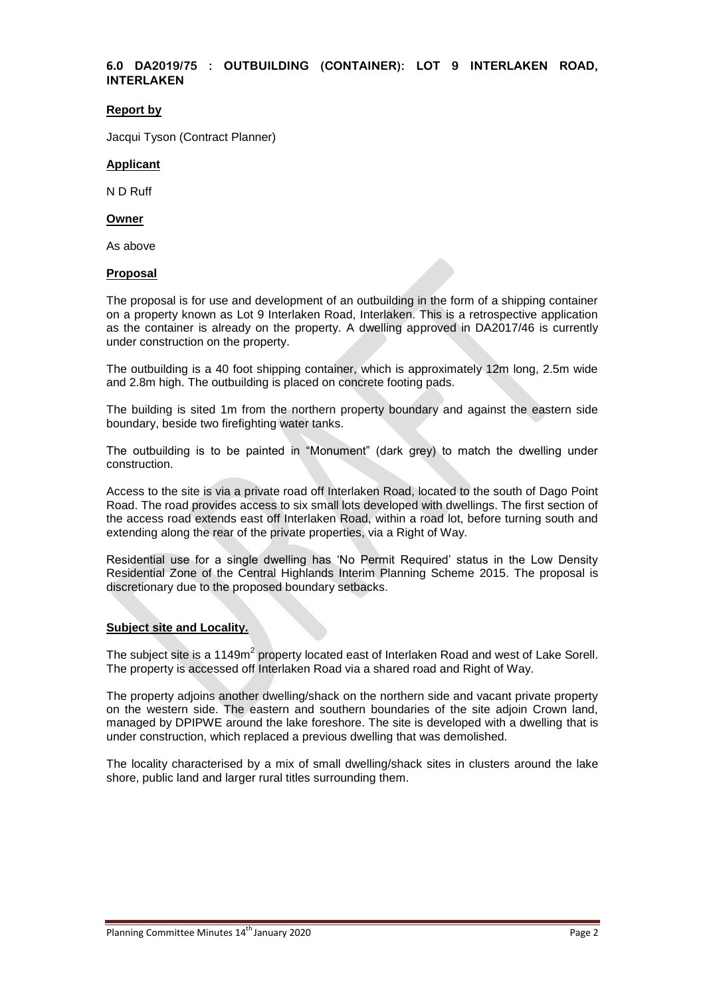### **6.0 DA2019/75 : OUTBUILDING (CONTAINER): LOT 9 INTERLAKEN ROAD, INTERLAKEN**

### **Report by**

Jacqui Tyson (Contract Planner)

### **Applicant**

N D Ruff

### **Owner**

As above

#### **Proposal**

The proposal is for use and development of an outbuilding in the form of a shipping container on a property known as Lot 9 Interlaken Road, Interlaken. This is a retrospective application as the container is already on the property. A dwelling approved in DA2017/46 is currently under construction on the property.

The outbuilding is a 40 foot shipping container, which is approximately 12m long, 2.5m wide and 2.8m high. The outbuilding is placed on concrete footing pads.

The building is sited 1m from the northern property boundary and against the eastern side boundary, beside two firefighting water tanks.

The outbuilding is to be painted in "Monument" (dark grey) to match the dwelling under construction.

Access to the site is via a private road off Interlaken Road, located to the south of Dago Point Road. The road provides access to six small lots developed with dwellings. The first section of the access road extends east off Interlaken Road, within a road lot, before turning south and extending along the rear of the private properties, via a Right of Way.

Residential use for a single dwelling has 'No Permit Required' status in the Low Density Residential Zone of the Central Highlands Interim Planning Scheme 2015. The proposal is discretionary due to the proposed boundary setbacks.

### **Subject site and Locality.**

The subject site is a 1149m<sup>2</sup> property located east of Interlaken Road and west of Lake Sorell. The property is accessed off Interlaken Road via a shared road and Right of Way.

The property adjoins another dwelling/shack on the northern side and vacant private property on the western side. The eastern and southern boundaries of the site adjoin Crown land, managed by DPIPWE around the lake foreshore. The site is developed with a dwelling that is under construction, which replaced a previous dwelling that was demolished.

The locality characterised by a mix of small dwelling/shack sites in clusters around the lake shore, public land and larger rural titles surrounding them.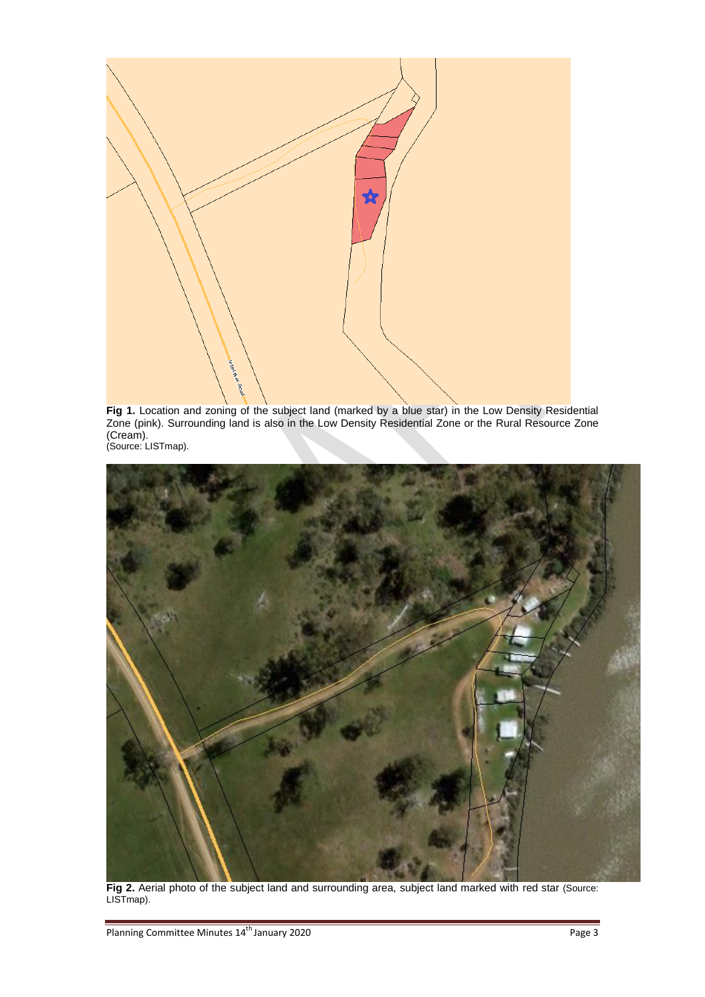

**Fig 1.** Location and zoning of the subject land (marked by a blue star) in the Low Density Residential Zone (pink). Surrounding land is also in the Low Density Residential Zone or the Rural Resource Zone (Cream). (Source: LISTmap).



Fig 2. Aerial photo of the subject land and surrounding area, subject land marked with red star (Source: LISTmap).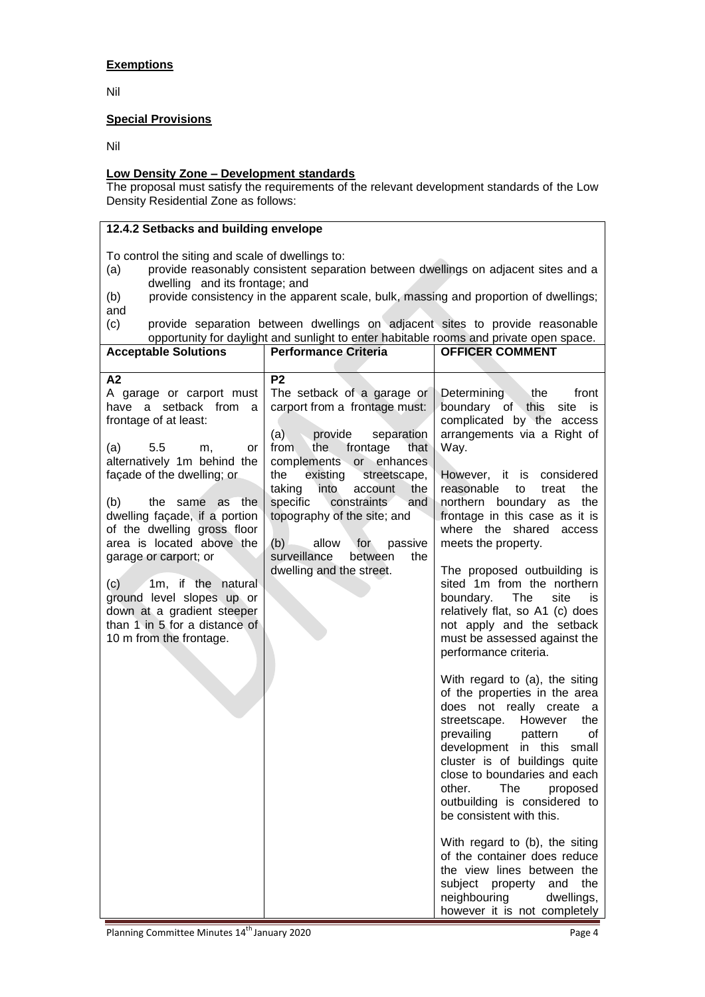# **Exemptions**

Nil

### **Special Provisions**

Nil

# **Low Density Zone – Development standards**

The proposal must satisfy the requirements of the relevant development standards of the Low Density Residential Zone as follows:

# **12.4.2 Setbacks and building envelope**

To control the siting and scale of dwellings to:

- (a) provide reasonably consistent separation between dwellings on adjacent sites and a dwelling and its frontage; and
- (b) provide consistency in the apparent scale, bulk, massing and proportion of dwellings; and

(c) provide separation between dwellings on adjacent sites to provide reasonable opportunity for daylight and sunlight to enter habitable rooms and private open space. **Acceptable Solutions Performance Criteria** 

| Acceptable Solutions                                                                                                                                                                                                                                                                                                                                                                                                                                                        | Feriormance Griteria                                                                                                                                                                                                                                                                                                                                                                                                   | UFFIUER UUIWIWEN I                                                                                                                                                                                                                                                                                                                                                                                                                                                                                                                                  |
|-----------------------------------------------------------------------------------------------------------------------------------------------------------------------------------------------------------------------------------------------------------------------------------------------------------------------------------------------------------------------------------------------------------------------------------------------------------------------------|------------------------------------------------------------------------------------------------------------------------------------------------------------------------------------------------------------------------------------------------------------------------------------------------------------------------------------------------------------------------------------------------------------------------|-----------------------------------------------------------------------------------------------------------------------------------------------------------------------------------------------------------------------------------------------------------------------------------------------------------------------------------------------------------------------------------------------------------------------------------------------------------------------------------------------------------------------------------------------------|
| А2<br>A garage or carport must<br>have a setback from a<br>frontage of at least:<br>5.5<br>(a)<br>m.<br>or<br>alternatively 1m behind the<br>façade of the dwelling; or<br>(b)<br>the same as the<br>dwelling façade, if a portion<br>of the dwelling gross floor<br>area is located above the<br>garage or carport; or<br>(c)<br>1m, if the natural<br>ground level slopes up or<br>down at a gradient steeper<br>than 1 in 5 for a distance of<br>10 m from the frontage. | P <sub>2</sub><br>The setback of a garage or<br>carport from a frontage must:<br>(a)<br>provide<br>separation<br>from<br>the<br>frontage<br>that<br>complements or<br>enhances<br>the<br>existing<br>streetscape,<br>taking<br>into<br>account<br>the<br>specific<br>constraints<br>and<br>topography of the site; and<br>(b)<br>allow<br>passive<br>for<br>surveillance<br>between<br>the<br>dwelling and the street. | front<br>Determining<br>the<br>boundary of this<br>site<br>is<br>complicated by the access<br>arrangements via a Right of<br>Way.<br>However, it is considered<br>reasonable<br>to<br>treat<br>the<br>the<br>northern boundary<br>as<br>frontage in this case as it is<br>where the shared<br>access<br>meets the property.<br>The proposed outbuilding is<br>sited 1m from the northern<br>boundary.<br>The<br>site<br>is<br>relatively flat, so A1 (c) does<br>not apply and the setback<br>must be assessed against the<br>performance criteria. |
|                                                                                                                                                                                                                                                                                                                                                                                                                                                                             |                                                                                                                                                                                                                                                                                                                                                                                                                        | With regard to (a), the siting<br>of the properties in the area<br>does not really create a<br>streetscape. However<br>the<br>prevailing<br>pattern<br>οf<br>development in this<br>small<br>cluster is of buildings quite<br>close to boundaries and each<br>other.<br>The<br>proposed<br>outbuilding is considered to<br>be consistent with this.<br>With regard to (b), the siting<br>of the container does reduce<br>the view lines between the<br>subject<br>property and<br>the<br>neighbouring<br>dwellings,<br>however it is not completely |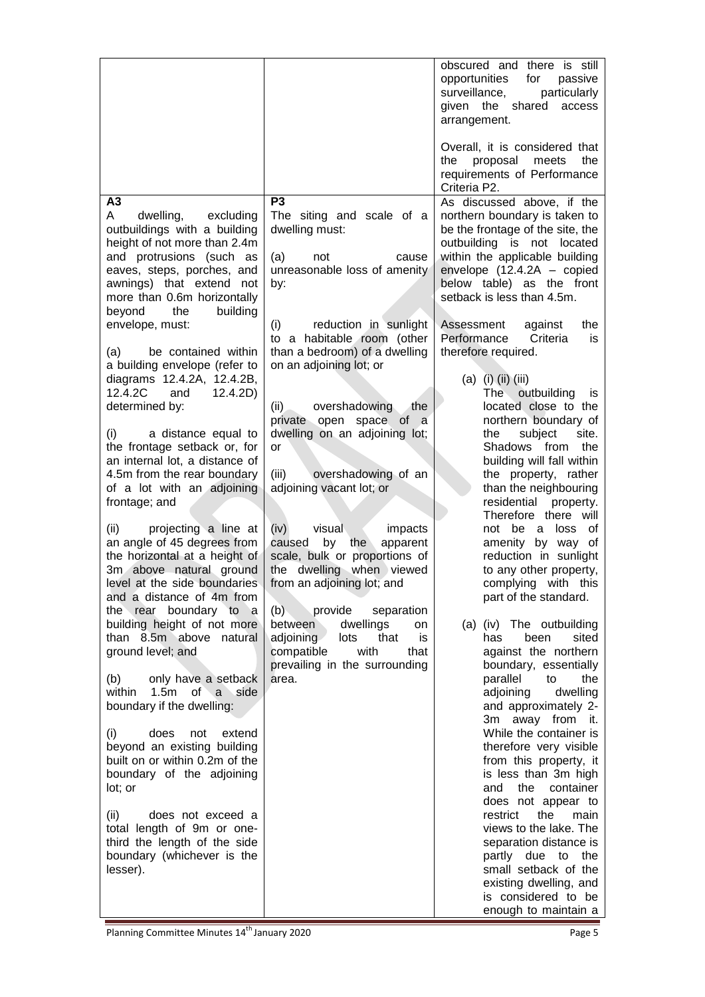|                                                                                                                                                                                                                                                                                                                           |                                                                                                                                                                                                                                                        | obscured and there is still<br>opportunities<br>for<br>passive<br>particularly<br>surveillance,<br>given the shared<br>access<br>arrangement.<br>Overall, it is considered that<br>the<br>proposal meets<br>the<br>requirements of Performance                                                          |
|---------------------------------------------------------------------------------------------------------------------------------------------------------------------------------------------------------------------------------------------------------------------------------------------------------------------------|--------------------------------------------------------------------------------------------------------------------------------------------------------------------------------------------------------------------------------------------------------|---------------------------------------------------------------------------------------------------------------------------------------------------------------------------------------------------------------------------------------------------------------------------------------------------------|
|                                                                                                                                                                                                                                                                                                                           |                                                                                                                                                                                                                                                        | Criteria P2.                                                                                                                                                                                                                                                                                            |
| A3<br>A<br>dwelling,<br>excluding<br>outbuildings with a building<br>height of not more than 2.4m<br>and protrusions (such as<br>eaves, steps, porches, and<br>awnings) that extend not<br>more than 0.6m horizontally<br>building<br>beyond<br>the                                                                       | P <sub>3</sub><br>The siting and scale of a<br>dwelling must:<br>(a)<br>not<br>cause<br>unreasonable loss of amenity<br>by:                                                                                                                            | As discussed above, if the<br>northern boundary is taken to<br>be the frontage of the site, the<br>outbuilding is not located<br>within the applicable building<br>envelope $(12.4.2A - copied$<br>below table) as the front<br>setback is less than 4.5m.                                              |
| envelope, must:<br>be contained within<br>(a)                                                                                                                                                                                                                                                                             | reduction in sunlight<br>(i)<br>to a habitable room (other<br>than a bedroom) of a dwelling                                                                                                                                                            | Assessment<br>against<br>the<br>Performance<br>Criteria<br>is<br>therefore required.                                                                                                                                                                                                                    |
| a building envelope (refer to<br>diagrams 12.4.2A, 12.4.2B,<br>12.4.2C<br>and<br>12.4.2D)<br>determined by:<br>(i)<br>a distance equal to<br>the frontage setback or, for<br>an internal lot, a distance of<br>4.5m from the rear boundary<br>of a lot with an adjoining<br>frontage; and<br>(ii)<br>projecting a line at | on an adjoining lot; or<br>overshadowing<br>(ii)<br>the<br>private open space of<br>- a<br>dwelling on an adjoining lot;<br>or<br>(iii)<br>overshadowing of an<br>adjoining vacant lot; or<br>(iv)<br>impacts<br>visual                                | (a) (i) (ii) (iii)<br>The outbuilding<br>is.<br>located close to the<br>northern boundary of<br>site.<br>subject<br>the<br>Shadows from<br>the<br>building will fall within<br>the property, rather<br>than the neighbouring<br>residential<br>property.<br>Therefore there will<br>not be a<br>loss of |
| an angle of 45 degrees from<br>the horizontal at a height of<br>3m above natural ground<br>level at the side boundaries<br>and a distance of 4m from<br>the rear boundary to a<br>building height of not more<br>than 8.5m above natural<br>ground level; and                                                             | caused<br>apparent<br>by<br>the<br>scale, bulk or proportions of<br>the dwelling when viewed<br>from an adjoining lot; and<br>provide separation<br>(b)<br>between<br>dwellings<br>on<br>adjoining<br>lots<br>that<br>is<br>compatible<br>with<br>that | amenity by way of<br>reduction in sunlight<br>to any other property,<br>complying with this<br>part of the standard.<br>(a) (iv) The outbuilding<br>been<br>sited<br>has<br>against the northern                                                                                                        |
| only have a setback<br>(b)<br>1.5m of a side<br>within<br>boundary if the dwelling:                                                                                                                                                                                                                                       | prevailing in the surrounding<br>area.                                                                                                                                                                                                                 | boundary, essentially<br>parallel<br>to<br>the<br>adjoining<br>dwelling<br>and approximately 2-<br>3m away from it.                                                                                                                                                                                     |
| does<br>(i)<br>not<br>extend<br>beyond an existing building<br>built on or within 0.2m of the<br>boundary of the adjoining<br>lot; or                                                                                                                                                                                     |                                                                                                                                                                                                                                                        | While the container is<br>therefore very visible<br>from this property, it<br>is less than 3m high<br>the<br>and<br>container<br>does not appear to                                                                                                                                                     |
| (ii)<br>does not exceed a<br>total length of 9m or one-<br>third the length of the side<br>boundary (whichever is the<br>lesser).                                                                                                                                                                                         |                                                                                                                                                                                                                                                        | the<br>restrict<br>main<br>views to the lake. The<br>separation distance is<br>partly due to the<br>small setback of the<br>existing dwelling, and<br>is considered to be<br>enough to maintain a                                                                                                       |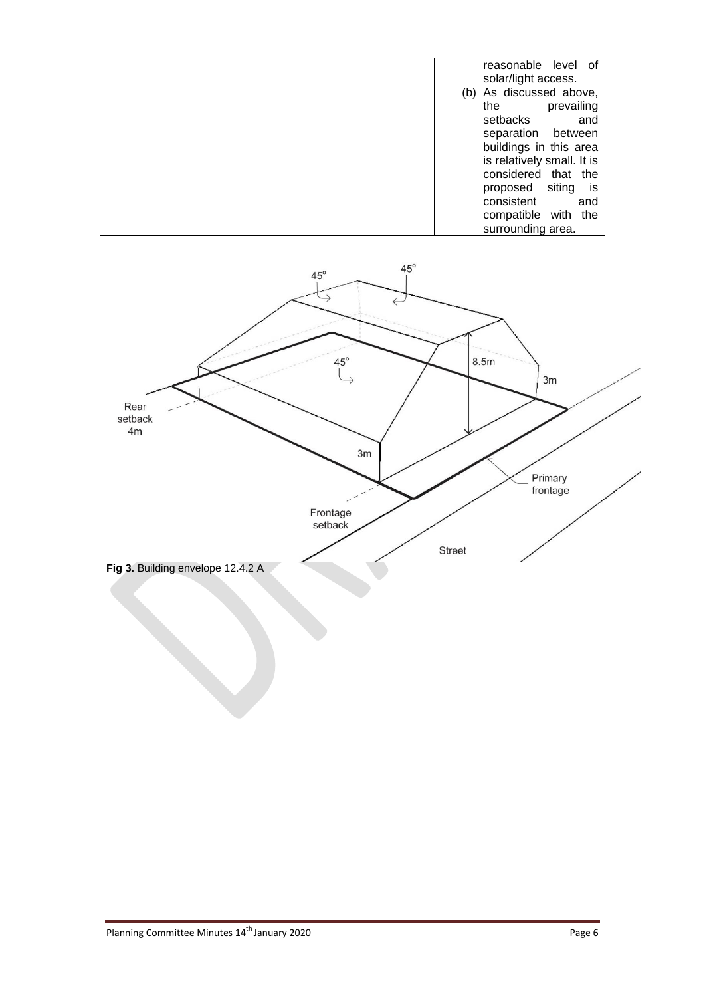| reasonable level of<br>solar/light access.           |
|------------------------------------------------------|
| (b) As discussed above,                              |
| prevailing<br>the<br>setbacks<br>and                 |
| separation between                                   |
| buildings in this area<br>is relatively small. It is |
| considered that the                                  |
| proposed siting<br>is is                             |
| consistent<br>and                                    |
| compatible with<br>the                               |
| surrounding area.                                    |

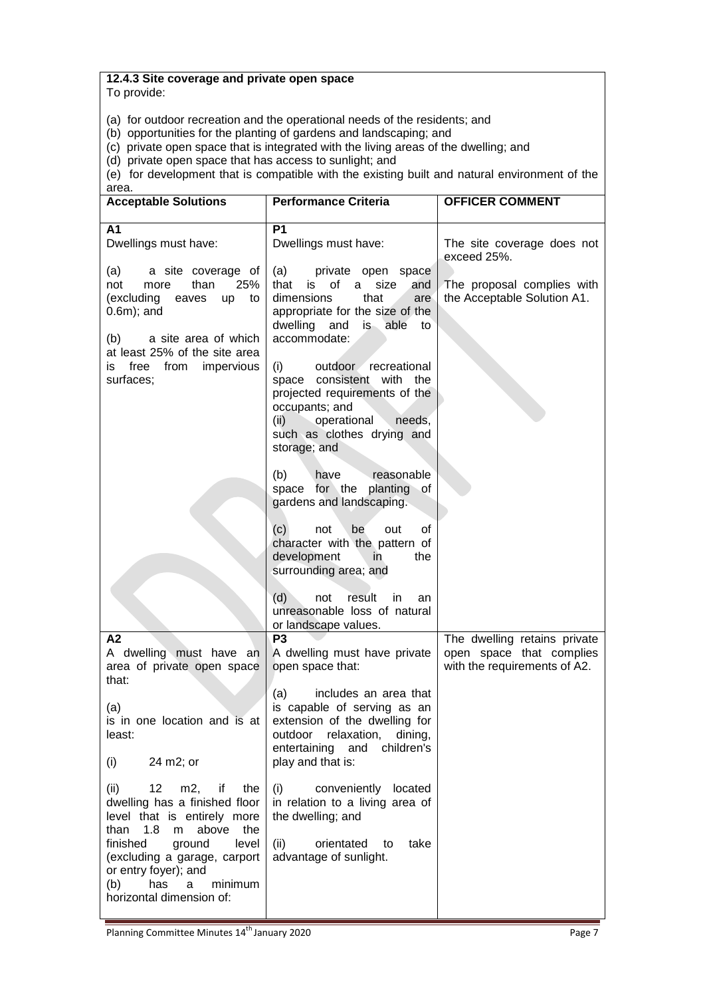# **12.4.3 Site coverage and private open space**

To provide:

(a) for outdoor recreation and the operational needs of the residents; and

(b) opportunities for the planting of gardens and landscaping; and

(c) private open space that is integrated with the living areas of the dwelling; and

(d) private open space that has access to sunlight; and

(e) for development that is compatible with the existing built and natural environment of the area.

| <b>Performance Criteria</b>                                                                                                                                                                                                 | <b>OFFICER COMMENT</b>                                                                   |
|-----------------------------------------------------------------------------------------------------------------------------------------------------------------------------------------------------------------------------|------------------------------------------------------------------------------------------|
| <b>P1</b><br>Dwellings must have:                                                                                                                                                                                           | The site coverage does not<br>exceed 25%.                                                |
| (a)<br>private open space<br>of<br>that<br>a.<br>size<br>and<br>is<br>dimensions<br>that<br>are<br>appropriate for the size of the<br>dwelling<br>and<br>is able<br>to                                                      | The proposal complies with<br>the Acceptable Solution A1.                                |
| (i)<br>outdoor recreational<br>space consistent with the<br>projected requirements of the<br>occupants; and<br>(ii)<br>operational<br>needs,<br>such as clothes drying and<br>storage; and                                  |                                                                                          |
| (b)<br>have<br>reasonable<br>space for the planting of<br>gardens and landscaping.                                                                                                                                          |                                                                                          |
| (c)<br>be<br>0f<br>not<br>out<br>character with the pattern of<br>development<br>in.<br>the<br>surrounding area; and                                                                                                        |                                                                                          |
| (d)<br>result<br>not<br>in.<br>an<br>unreasonable loss of natural                                                                                                                                                           |                                                                                          |
| P <sub>3</sub><br>A dwelling must have private<br>open space that:                                                                                                                                                          | The dwelling retains private<br>open space that complies<br>with the requirements of A2. |
| (a)<br>includes an area that<br>is capable of serving as an<br>extension of the dwelling for<br>is in one location and is at<br>outdoor<br>relaxation,<br>dining,<br>entertaining<br>children's<br>and<br>play and that is: |                                                                                          |
| conveniently<br>(i)<br>located<br>in relation to a living area of<br>the dwelling; and<br>take<br>(ii)<br>orientated<br>to<br>advantage of sunlight.                                                                        |                                                                                          |
|                                                                                                                                                                                                                             | accommodate:<br>or landscape values.                                                     |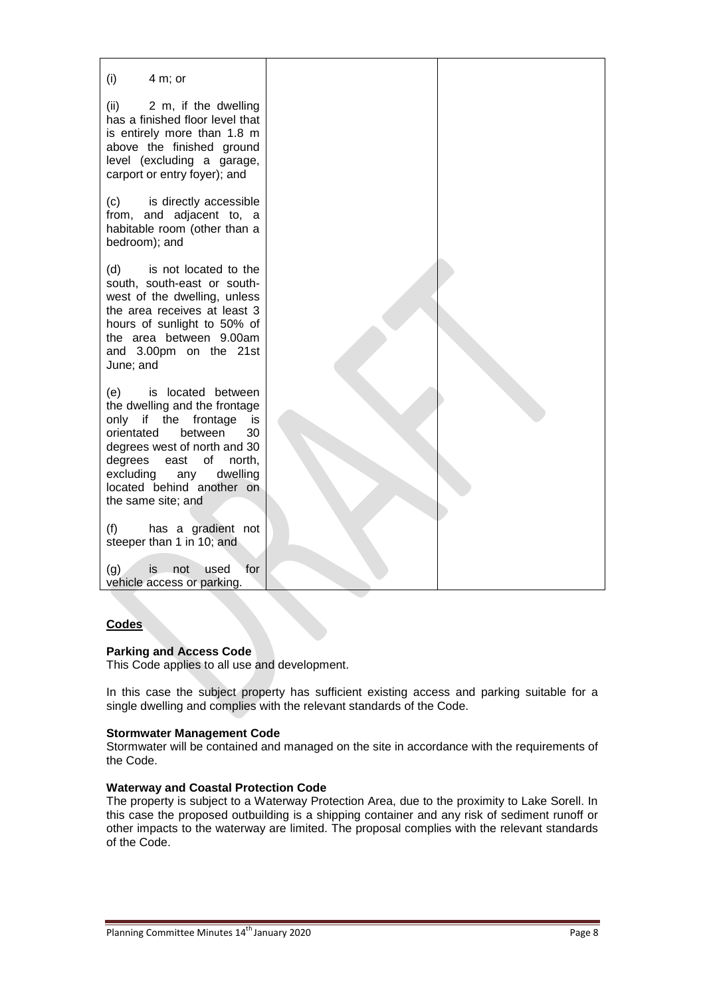

### **Codes**

#### **Parking and Access Code**

This Code applies to all use and development.

In this case the subject property has sufficient existing access and parking suitable for a single dwelling and complies with the relevant standards of the Code.

#### **Stormwater Management Code**

Stormwater will be contained and managed on the site in accordance with the requirements of the Code.

#### **Waterway and Coastal Protection Code**

The property is subject to a Waterway Protection Area, due to the proximity to Lake Sorell. In this case the proposed outbuilding is a shipping container and any risk of sediment runoff or other impacts to the waterway are limited. The proposal complies with the relevant standards of the Code.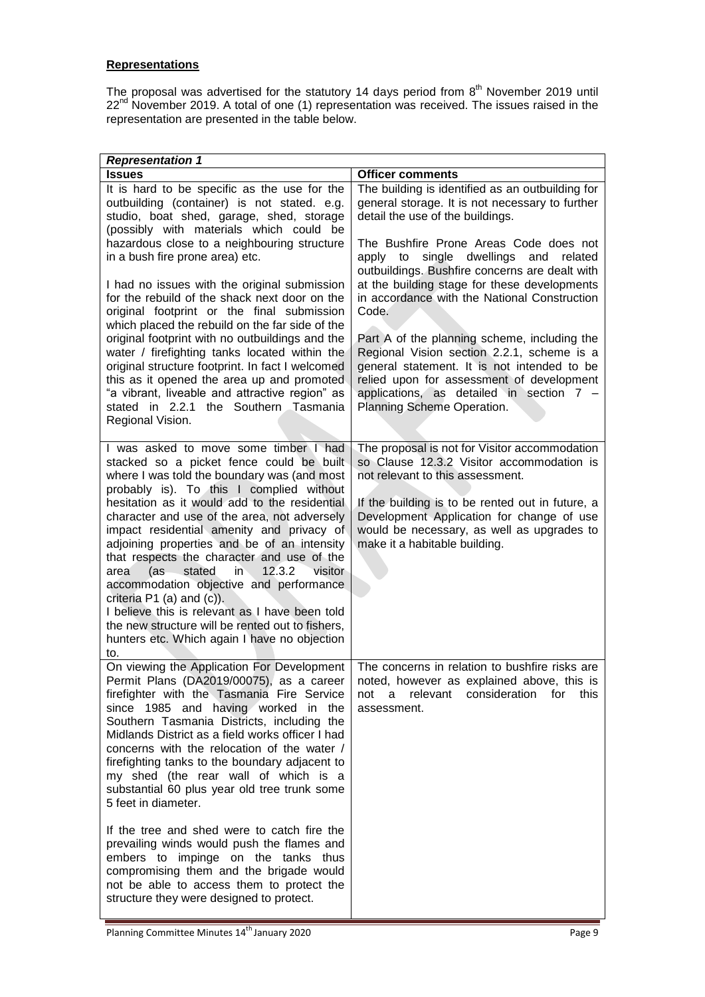# **Representations**

The proposal was advertised for the statutory 14 days period from  $8<sup>th</sup>$  November 2019 until 22<sup>nd</sup> November 2019. A total of one (1) representation was received. The issues raised in the representation are presented in the table below.

| <b>Representation 1</b>                                                                                                                                                                                                                                                                                                                                                                                                                                                                                                                                                                                                                                                                                                |                                                                                                                                                                                                                                                                                                                |  |
|------------------------------------------------------------------------------------------------------------------------------------------------------------------------------------------------------------------------------------------------------------------------------------------------------------------------------------------------------------------------------------------------------------------------------------------------------------------------------------------------------------------------------------------------------------------------------------------------------------------------------------------------------------------------------------------------------------------------|----------------------------------------------------------------------------------------------------------------------------------------------------------------------------------------------------------------------------------------------------------------------------------------------------------------|--|
| <b>Issues</b>                                                                                                                                                                                                                                                                                                                                                                                                                                                                                                                                                                                                                                                                                                          | <b>Officer comments</b>                                                                                                                                                                                                                                                                                        |  |
| It is hard to be specific as the use for the<br>outbuilding (container) is not stated. e.g.<br>studio, boat shed, garage, shed, storage<br>(possibly with materials which could be                                                                                                                                                                                                                                                                                                                                                                                                                                                                                                                                     | The building is identified as an outbuilding for<br>general storage. It is not necessary to further<br>detail the use of the buildings.                                                                                                                                                                        |  |
| hazardous close to a neighbouring structure<br>in a bush fire prone area) etc.<br>I had no issues with the original submission<br>for the rebuild of the shack next door on the                                                                                                                                                                                                                                                                                                                                                                                                                                                                                                                                        | The Bushfire Prone Areas Code does not<br>apply to<br>single<br>dwellings<br>and<br>related<br>outbuildings. Bushfire concerns are dealt with<br>at the building stage for these developments<br>in accordance with the National Construction                                                                  |  |
| original footprint or the final submission<br>which placed the rebuild on the far side of the<br>original footprint with no outbuildings and the<br>water / firefighting tanks located within the<br>original structure footprint. In fact I welcomed<br>this as it opened the area up and promoted<br>"a vibrant, liveable and attractive region" as<br>stated in 2.2.1 the Southern Tasmania<br>Regional Vision.                                                                                                                                                                                                                                                                                                     | Code.<br>Part A of the planning scheme, including the<br>Regional Vision section 2.2.1, scheme is a<br>general statement. It is not intended to be<br>relied upon for assessment of development<br>applications, as detailed in section 7 -<br>Planning Scheme Operation.                                      |  |
| I was asked to move some timber I had<br>stacked so a picket fence could be built<br>where I was told the boundary was (and most<br>probably is). To this I complied without<br>hesitation as it would add to the residential<br>character and use of the area, not adversely<br>impact residential amenity and privacy of<br>adjoining properties and be of an intensity<br>that respects the character and use of the<br>12.3.2<br>visitor<br>(as<br>stated<br>$in$ .<br>area<br>accommodation objective and performance<br>criteria $P1$ (a) and (c)).<br>I believe this is relevant as I have been told<br>the new structure will be rented out to fishers,<br>hunters etc. Which again I have no objection<br>to. | The proposal is not for Visitor accommodation<br>so Clause 12.3.2 Visitor accommodation is<br>not relevant to this assessment.<br>If the building is to be rented out in future, a<br>Development Application for change of use<br>would be necessary, as well as upgrades to<br>make it a habitable building. |  |
| On viewing the Application For Development<br>Permit Plans (DA2019/00075), as a career<br>firefighter with the Tasmania Fire Service<br>since 1985 and having worked in the<br>Southern Tasmania Districts, including the<br>Midlands District as a field works officer I had<br>concerns with the relocation of the water /<br>firefighting tanks to the boundary adjacent to<br>my shed (the rear wall of which is a<br>substantial 60 plus year old tree trunk some<br>5 feet in diameter.                                                                                                                                                                                                                          | The concerns in relation to bushfire risks are<br>noted, however as explained above, this is<br>relevant<br>consideration<br>for<br>this<br>not<br>a<br>assessment.                                                                                                                                            |  |
| If the tree and shed were to catch fire the<br>prevailing winds would push the flames and<br>embers to impinge on the tanks thus<br>compromising them and the brigade would<br>not be able to access them to protect the<br>structure they were designed to protect.                                                                                                                                                                                                                                                                                                                                                                                                                                                   |                                                                                                                                                                                                                                                                                                                |  |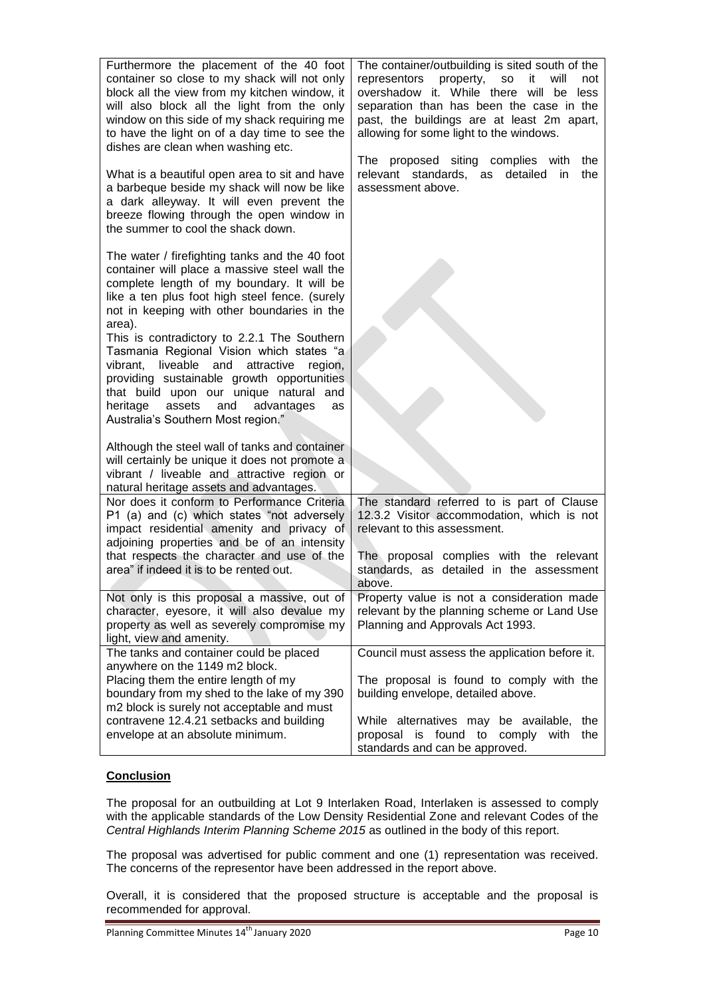| Furthermore the placement of the 40 foot<br>container so close to my shack will not only<br>block all the view from my kitchen window, it<br>will also block all the light from the only<br>window on this side of my shack requiring me<br>to have the light on of a day time to see the<br>dishes are clean when washing etc.<br>What is a beautiful open area to sit and have<br>a barbeque beside my shack will now be like<br>a dark alleyway. It will even prevent the<br>breeze flowing through the open window in<br>the summer to cool the shack down.                            | The container/outbuilding is sited south of the<br>representors<br>property,<br>it<br>will<br><b>SO</b><br>not<br>overshadow it. While there will be less<br>separation than has been the case in the<br>past, the buildings are at least 2m apart,<br>allowing for some light to the windows.<br>The proposed siting complies with<br>the<br>relevant standards,<br>detailed<br>as<br>in<br>the<br>assessment above. |
|--------------------------------------------------------------------------------------------------------------------------------------------------------------------------------------------------------------------------------------------------------------------------------------------------------------------------------------------------------------------------------------------------------------------------------------------------------------------------------------------------------------------------------------------------------------------------------------------|-----------------------------------------------------------------------------------------------------------------------------------------------------------------------------------------------------------------------------------------------------------------------------------------------------------------------------------------------------------------------------------------------------------------------|
| The water / firefighting tanks and the 40 foot<br>container will place a massive steel wall the<br>complete length of my boundary. It will be<br>like a ten plus foot high steel fence. (surely<br>not in keeping with other boundaries in the<br>area).<br>This is contradictory to 2.2.1 The Southern<br>Tasmania Regional Vision which states "a<br>liveable<br>vibrant,<br>and<br>attractive<br>region,<br>providing sustainable growth opportunities<br>that build upon our unique natural and<br>heritage<br>assets<br>and<br>advantages<br>as<br>Australia's Southern Most region." |                                                                                                                                                                                                                                                                                                                                                                                                                       |
| Although the steel wall of tanks and container<br>will certainly be unique it does not promote a<br>vibrant / liveable and attractive region or<br>natural heritage assets and advantages.                                                                                                                                                                                                                                                                                                                                                                                                 |                                                                                                                                                                                                                                                                                                                                                                                                                       |
| Nor does it conform to Performance Criteria<br>P1 (a) and (c) which states "not adversely<br>impact residential amenity and privacy of<br>adjoining properties and be of an intensity<br>that respects the character and use of the<br>area" if indeed it is to be rented out.                                                                                                                                                                                                                                                                                                             | The standard referred to is part of Clause<br>12.3.2 Visitor accommodation, which is not<br>relevant to this assessment.<br>The proposal complies with the relevant<br>standards, as detailed in the assessment<br>above.                                                                                                                                                                                             |
| Not only is this proposal a massive, out of<br>character, eyesore, it will also devalue my<br>property as well as severely compromise my<br>light, view and amenity.                                                                                                                                                                                                                                                                                                                                                                                                                       | Property value is not a consideration made<br>relevant by the planning scheme or Land Use<br>Planning and Approvals Act 1993.                                                                                                                                                                                                                                                                                         |
| The tanks and container could be placed<br>anywhere on the 1149 m2 block.<br>Placing them the entire length of my<br>boundary from my shed to the lake of my 390<br>m2 block is surely not acceptable and must<br>contravene 12.4.21 setbacks and building                                                                                                                                                                                                                                                                                                                                 | Council must assess the application before it.<br>The proposal is found to comply with the<br>building envelope, detailed above.                                                                                                                                                                                                                                                                                      |
| envelope at an absolute minimum.                                                                                                                                                                                                                                                                                                                                                                                                                                                                                                                                                           | While alternatives may be available, the<br>proposal is found to comply<br>with<br>the<br>standards and can be approved.                                                                                                                                                                                                                                                                                              |

# **Conclusion**

The proposal for an outbuilding at Lot 9 Interlaken Road, Interlaken is assessed to comply with the applicable standards of the Low Density Residential Zone and relevant Codes of the *Central Highlands Interim Planning Scheme 2015* as outlined in the body of this report.

The proposal was advertised for public comment and one (1) representation was received. The concerns of the representor have been addressed in the report above.

Overall, it is considered that the proposed structure is acceptable and the proposal is recommended for approval.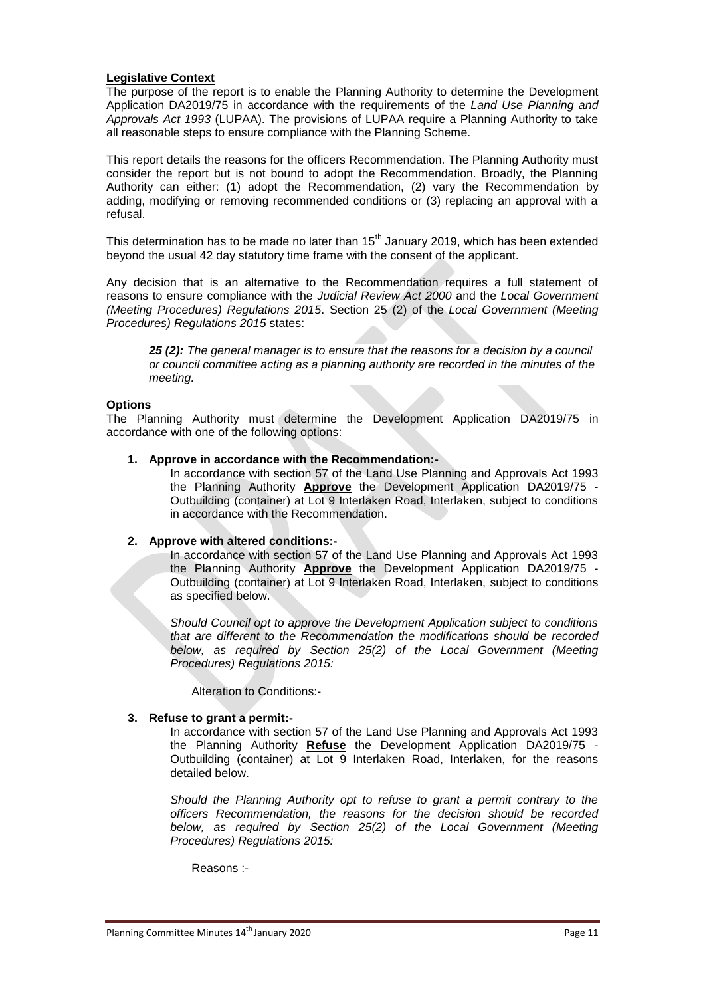### **Legislative Context**

The purpose of the report is to enable the Planning Authority to determine the Development Application DA2019/75 in accordance with the requirements of the *Land Use Planning and Approvals Act 1993* (LUPAA). The provisions of LUPAA require a Planning Authority to take all reasonable steps to ensure compliance with the Planning Scheme.

This report details the reasons for the officers Recommendation. The Planning Authority must consider the report but is not bound to adopt the Recommendation. Broadly, the Planning Authority can either: (1) adopt the Recommendation, (2) vary the Recommendation by adding, modifying or removing recommended conditions or (3) replacing an approval with a refusal.

This determination has to be made no later than  $15<sup>th</sup>$  January 2019, which has been extended beyond the usual 42 day statutory time frame with the consent of the applicant.

Any decision that is an alternative to the Recommendation requires a full statement of reasons to ensure compliance with the *Judicial Review Act 2000* and the *Local Government (Meeting Procedures) Regulations 2015*. Section 25 (2) of the *Local Government (Meeting Procedures) Regulations 2015* states:

*25 (2): The general manager is to ensure that the reasons for a decision by a council or council committee acting as a planning authority are recorded in the minutes of the meeting.*

# **Options**

The Planning Authority must determine the Development Application DA2019/75 in accordance with one of the following options:

### **1. Approve in accordance with the Recommendation:-**

In accordance with section 57 of the Land Use Planning and Approvals Act 1993 the Planning Authority **Approve** the Development Application DA2019/75 - Outbuilding (container) at Lot 9 Interlaken Road, Interlaken, subject to conditions in accordance with the Recommendation.

#### **2. Approve with altered conditions:-**

In accordance with section 57 of the Land Use Planning and Approvals Act 1993 the Planning Authority **Approve** the Development Application DA2019/75 - Outbuilding (container) at Lot 9 Interlaken Road, Interlaken, subject to conditions as specified below.

*Should Council opt to approve the Development Application subject to conditions that are different to the Recommendation the modifications should be recorded below, as required by Section 25(2) of the Local Government (Meeting Procedures) Regulations 2015:*

Alteration to Conditions:-

#### **3. Refuse to grant a permit:-**

In accordance with section 57 of the Land Use Planning and Approvals Act 1993 the Planning Authority **Refuse** the Development Application DA2019/75 - Outbuilding (container) at Lot 9 Interlaken Road, Interlaken, for the reasons detailed below.

*Should the Planning Authority opt to refuse to grant a permit contrary to the officers Recommendation, the reasons for the decision should be recorded below, as required by Section 25(2) of the Local Government (Meeting Procedures) Regulations 2015:*

Reasons :-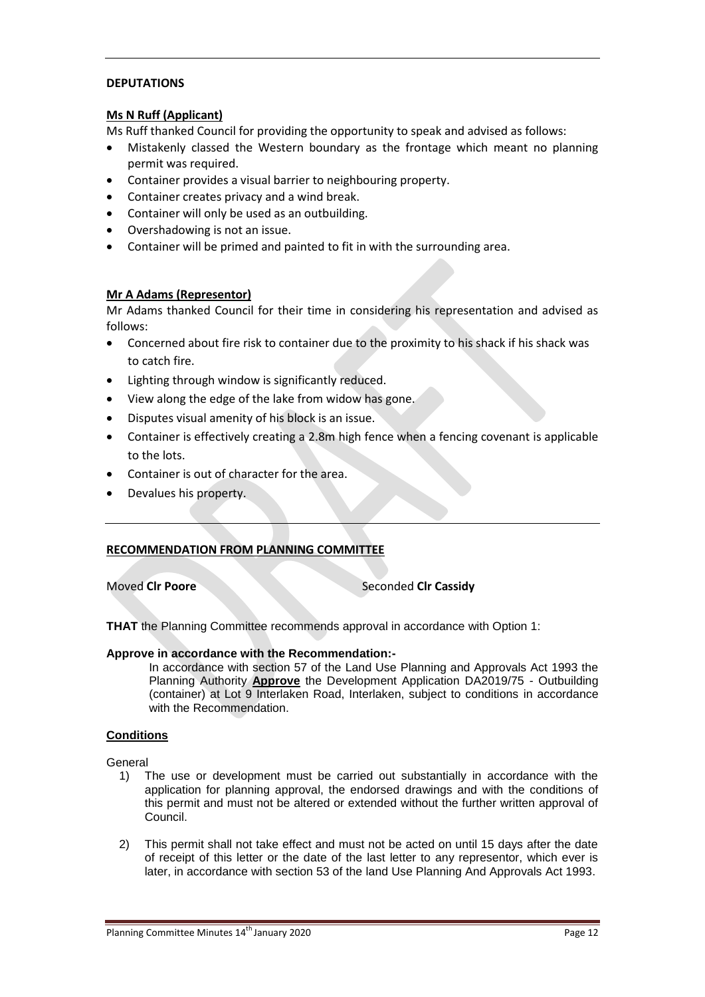# **DEPUTATIONS**

### **Ms N Ruff (Applicant)**

Ms Ruff thanked Council for providing the opportunity to speak and advised as follows:

- Mistakenly classed the Western boundary as the frontage which meant no planning permit was required.
- Container provides a visual barrier to neighbouring property.
- Container creates privacy and a wind break.
- Container will only be used as an outbuilding.
- Overshadowing is not an issue.
- Container will be primed and painted to fit in with the surrounding area.

### **Mr A Adams (Representor)**

Mr Adams thanked Council for their time in considering his representation and advised as follows:

- Concerned about fire risk to container due to the proximity to his shack if his shack was to catch fire.
- Lighting through window is significantly reduced.
- View along the edge of the lake from widow has gone.
- Disputes visual amenity of his block is an issue.
- Container is effectively creating a 2.8m high fence when a fencing covenant is applicable to the lots.
- Container is out of character for the area.
- Devalues his property.

### **RECOMMENDATION FROM PLANNING COMMITTEE**

#### **Moved Clr Poore** Seconded Clr Cassidy

**THAT** the Planning Committee recommends approval in accordance with Option 1:

### **Approve in accordance with the Recommendation:-**

In accordance with section 57 of the Land Use Planning and Approvals Act 1993 the Planning Authority **Approve** the Development Application DA2019/75 - Outbuilding (container) at Lot 9 Interlaken Road, Interlaken, subject to conditions in accordance with the Recommendation.

### **Conditions**

General

- 1) The use or development must be carried out substantially in accordance with the application for planning approval, the endorsed drawings and with the conditions of this permit and must not be altered or extended without the further written approval of Council.
- 2) This permit shall not take effect and must not be acted on until 15 days after the date of receipt of this letter or the date of the last letter to any representor, which ever is later, in accordance with section 53 of the land Use Planning And Approvals Act 1993.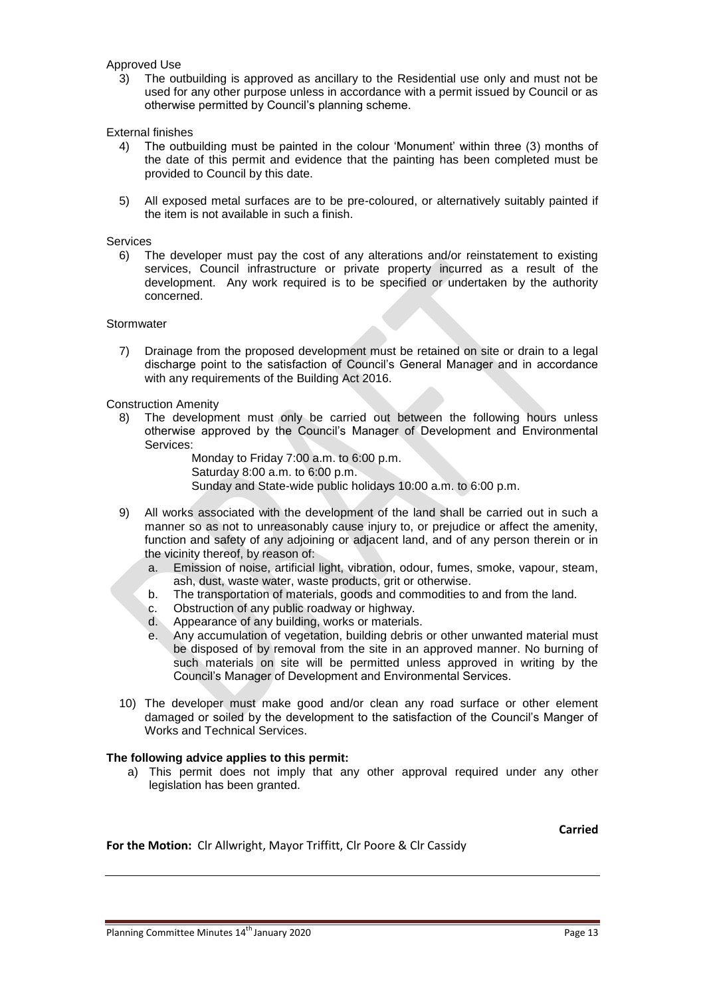### Approved Use

3) The outbuilding is approved as ancillary to the Residential use only and must not be used for any other purpose unless in accordance with a permit issued by Council or as otherwise permitted by Council's planning scheme.

External finishes

- 4) The outbuilding must be painted in the colour 'Monument' within three (3) months of the date of this permit and evidence that the painting has been completed must be provided to Council by this date.
- 5) All exposed metal surfaces are to be pre-coloured, or alternatively suitably painted if the item is not available in such a finish.

Services

6) The developer must pay the cost of any alterations and/or reinstatement to existing services, Council infrastructure or private property incurred as a result of the development. Any work required is to be specified or undertaken by the authority concerned.

#### **Stormwater**

7) Drainage from the proposed development must be retained on site or drain to a legal discharge point to the satisfaction of Council's General Manager and in accordance with any requirements of the Building Act 2016.

#### Construction Amenity

8) The development must only be carried out between the following hours unless otherwise approved by the Council's Manager of Development and Environmental Services:

> Monday to Friday 7:00 a.m. to 6:00 p.m. Saturday 8:00 a.m. to 6:00 p.m. Sunday and State-wide public holidays 10:00 a.m. to 6:00 p.m.

- 9) All works associated with the development of the land shall be carried out in such a manner so as not to unreasonably cause injury to, or prejudice or affect the amenity, function and safety of any adjoining or adjacent land, and of any person therein or in the vicinity thereof, by reason of:
	- a. Emission of noise, artificial light, vibration, odour, fumes, smoke, vapour, steam, ash, dust, waste water, waste products, grit or otherwise.
	- b. The transportation of materials, goods and commodities to and from the land.
	- c. Obstruction of any public roadway or highway.
	- d. Appearance of any building, works or materials.
	- e. Any accumulation of vegetation, building debris or other unwanted material must be disposed of by removal from the site in an approved manner. No burning of such materials on site will be permitted unless approved in writing by the Council's Manager of Development and Environmental Services.
- 10) The developer must make good and/or clean any road surface or other element damaged or soiled by the development to the satisfaction of the Council's Manger of Works and Technical Services.

#### **The following advice applies to this permit:**

a) This permit does not imply that any other approval required under any other legislation has been granted.

**Carried**

**For the Motion:** Clr Allwright, Mayor Triffitt, Clr Poore & Clr Cassidy